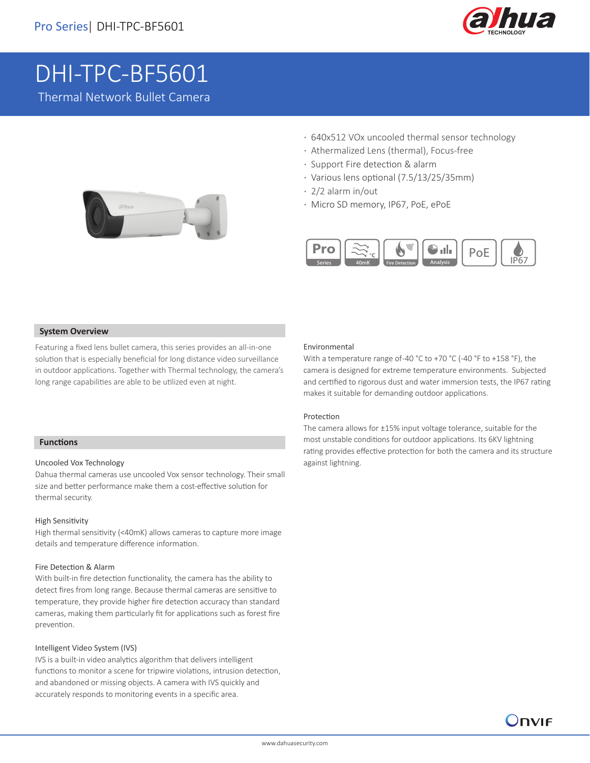

# DHI-TPC-BF5601

Thermal Network Bullet Camera



- · 640x512 VOx uncooled thermal sensor technology
- · Athermalized Lens (thermal), Focus-free
- · Support Fire detection & alarm
- · Various lens optional (7.5/13/25/35mm)
- · 2/2 alarm in/out
- · Micro SD memory, IP67, PoE, ePoE



#### **System Overview**

Featuring a fixed lens bullet camera, this series provides an all-in-one solution that is especially beneficial for long distance video surveillance in outdoor applications. Together with Thermal technology, the camera's long range capabilities are able to be utilized even at night.

#### **Functions**

I

#### Uncooled Vox Technology

Dahua thermal cameras use uncooled Vox sensor technology. Their small size and better performance make them a cost-effective solution for thermal security.

#### High Sensitivity

High thermal sensitivity (<40mK) allows cameras to capture more image details and temperature difference information.

#### Fire Detection & Alarm

With built-in fire detection functionality, the camera has the ability to detect fires from long range. Because thermal cameras are sensitive to temperature, they provide higher fire detection accuracy than standard cameras, making them particularly fit for applications such as forest fire prevention.

#### Intelligent Video System (IVS)

IVS is a built-in video analytics algorithm that delivers intelligent functions to monitor a scene for tripwire violations, intrusion detection, and abandoned or missing objects. A camera with IVS quickly and accurately responds to monitoring events in a specific area.

#### Environmental

With a temperature range of-40 °C to +70 °C (-40 °F to +158 °F), the camera is designed for extreme temperature environments. Subjected and certified to rigorous dust and water immersion tests, the IP67 rating makes it suitable for demanding outdoor applications.

#### Protection

The camera allows for ±15% input voltage tolerance, suitable for the most unstable conditions for outdoor applications. Its 6KV lightning rating provides effective protection for both the camera and its structure against lightning.

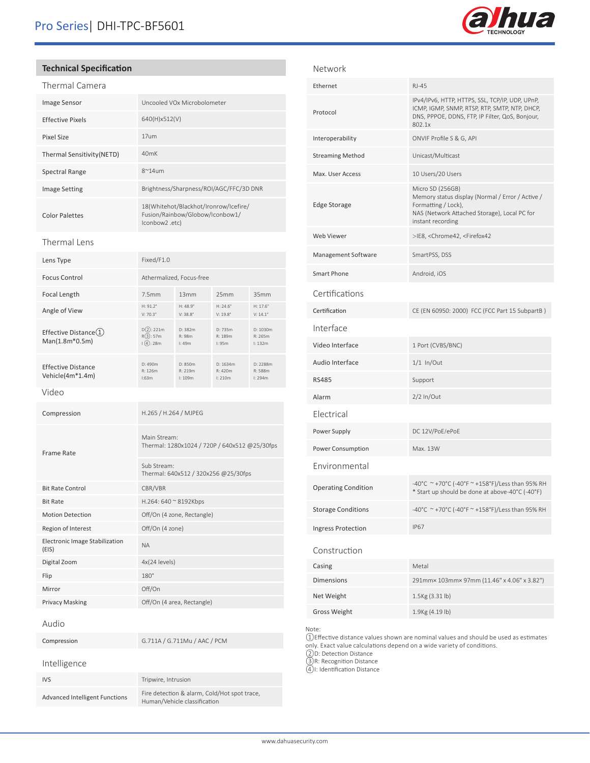

## **Technical Specification**

| Thermal Camera             |                                                                                             |
|----------------------------|---------------------------------------------------------------------------------------------|
| <b>Image Sensor</b>        | Uncooled VOx Microbolometer                                                                 |
| <b>Effective Pixels</b>    | 640(H)x512(V)                                                                               |
| Pixel Size                 | 17um                                                                                        |
| Thermal Sensitivity (NETD) | 40 <sub>m</sub> K                                                                           |
| Spectral Range             | $8^{\sim}14$ um                                                                             |
| <b>Image Setting</b>       | Brightness/Sharpness/ROI/AGC/FFC/3D DNR                                                     |
| <b>Color Palettes</b>      | 18(Whitehot/Blackhot/Ironrow/Icefire/<br>Fusion/Rainbow/Globow/Iconbow1/<br>(lconbow2 .etc. |

#### Thermal Lens

| Lens Type                                     | Fixed/F1.0                                          |                                                               |                                |                                        |
|-----------------------------------------------|-----------------------------------------------------|---------------------------------------------------------------|--------------------------------|----------------------------------------|
| <b>Focus Control</b>                          | Athermalized, Focus-free                            |                                                               |                                |                                        |
| <b>Focal Length</b>                           | 7.5mm                                               | 13mm                                                          | 25mm                           | 35mm                                   |
| Angle of View                                 | $H: 91.2^{\circ}$<br>V: 70.3°                       | $H: 48.9^{\circ}$<br>$V: 38.8^\circ$                          | $H: 24.6^{\circ}$<br>V: 19.8°  | $H: 17.6^{\circ}$<br>$V: 14.1^{\circ}$ |
| Effective Distance $(1)$<br>Man(1.8m*0.5m)    | $D(2)$ : 221m<br>R(3):57m<br>1(4):28m               | D: 382m<br>R: 98m<br>l:49m                                    | D: 735m<br>R: 189m<br>I: 95m   | D: 1030m<br>R: 265m<br>I: 132m         |
| <b>Effective Distance</b><br>Vehicle(4m*1.4m) | D: 490m<br>R: 126m<br>1:63m                         | D: 850m<br>R: 219m<br>l:109m                                  | D: 1634m<br>R: 420m<br>l: 210m | D: 2288m<br>R: 588m<br>l: 294m         |
| Video                                         |                                                     |                                                               |                                |                                        |
| Compression                                   |                                                     | H.265 / H.264 / MJPEG                                         |                                |                                        |
| <b>Frame Rate</b>                             |                                                     | Main Stream:<br>Thermal: 1280x1024 / 720P / 640x512 @25/30fps |                                |                                        |
|                                               | Sub Stream:<br>Thermal: 640x512 / 320x256 @25/30fps |                                                               |                                |                                        |
| <b>Bit Rate Control</b>                       | CBR/VBR                                             |                                                               |                                |                                        |
| <b>Bit Rate</b>                               | H.264: 640 ~ 8192Kbps                               |                                                               |                                |                                        |
| <b>Motion Detection</b>                       |                                                     | Off/On (4 zone, Rectangle)                                    |                                |                                        |
| Region of Interest                            |                                                     | Off/On (4 zone)                                               |                                |                                        |
| Electronic Image Stabilization<br>(EIS)       | <b>NA</b>                                           |                                                               |                                |                                        |
| Digital Zoom                                  |                                                     | 4x(24 levels)                                                 |                                |                                        |
| Flip                                          | $180^\circ$                                         |                                                               |                                |                                        |
| Mirror                                        | Off/On                                              |                                                               |                                |                                        |
| <b>Privacy Masking</b>                        |                                                     | Off/On (4 area, Rectangle)                                    |                                |                                        |
| Audio                                         |                                                     |                                                               |                                |                                        |
| Compression                                   |                                                     | G.711A / G.711Mu / AAC / PCM                                  |                                |                                        |
| Intelligence                                  |                                                     |                                                               |                                |                                        |
| <b>IVS</b>                                    |                                                     | Tripwire, Intrusion                                           |                                |                                        |

| Network                    |                                                                                                                                                                  |
|----------------------------|------------------------------------------------------------------------------------------------------------------------------------------------------------------|
| Ethernet                   | <b>RJ-45</b>                                                                                                                                                     |
| Protocol                   | IPv4/IPv6, HTTP, HTTPS, SSL, TCP/IP, UDP, UPnP,<br>ICMP, IGMP, SNMP, RTSP, RTP, SMTP, NTP, DHCP,<br>DNS, PPPOE, DDNS, FTP, IP Filter, QoS, Bonjour,<br>802.1x    |
| Interoperability           | ONVIF Profile S & G, API                                                                                                                                         |
| <b>Streaming Method</b>    | Unicast/Multicast                                                                                                                                                |
| Max. User Access           | 10 Users/20 Users                                                                                                                                                |
| <b>Edge Storage</b>        | Micro SD (256GB)<br>Memory status display (Normal / Error / Active /<br>Formatting / Lock),<br>NAS (Network Attached Storage), Local PC for<br>instant recording |
| Web Viewer                 | >IE8, <chrome42, <firefox42<="" td=""></chrome42,>                                                                                                               |
| Management Software        | SmartPSS, DSS                                                                                                                                                    |
| Smart Phone                | Android, iOS                                                                                                                                                     |
| Certifications             |                                                                                                                                                                  |
| Certification              | CE (EN 60950: 2000) FCC (FCC Part 15 SubpartB)                                                                                                                   |
| Interface                  |                                                                                                                                                                  |
| Video Interface            | 1 Port (CVBS/BNC)                                                                                                                                                |
| Audio Interface            | $1/1$ In/Out                                                                                                                                                     |
| <b>RS485</b>               | Support                                                                                                                                                          |
| Alarm                      | $2/2$ In/Out                                                                                                                                                     |
| Electrical                 |                                                                                                                                                                  |
| Power Supply               | DC 12V/PoE/ePoE                                                                                                                                                  |
| Power Consumption          | Max. 13W                                                                                                                                                         |
| Environmental              |                                                                                                                                                                  |
| <b>Operating Condition</b> | -40°C ~ +70°C (-40°F ~ +158°F)/Less than 95% RH<br>* Start up should be done at above-40°C (-40°F)                                                               |
| <b>Storage Conditions</b>  | -40°C ~+70°C (-40°F ~+158°F)/Less than 95% RH                                                                                                                    |
| <b>Ingress Protection</b>  | <b>IP67</b>                                                                                                                                                      |
| Construction               |                                                                                                                                                                  |
| Casing                     | Metal                                                                                                                                                            |
| <b>Dimensions</b>          | 291mm× 103mm× 97mm (11.46" x 4.06" x 3.82")                                                                                                                      |
| Net Weight                 | 1.5Kg (3.31 lb)                                                                                                                                                  |
| <b>Gross Weight</b>        | 1.9Kg (4.19 lb)                                                                                                                                                  |

Note:

①Effective distance values shown are nominal values and should be used as estimates only. Exact value calculations depend on a wide variety of conditions.

②D: Detection Distance

③R: Recognition Distance

④I: Identification Distance

IVS Tripwire, Intrusion Advanced Intelligent Functions<br>Fire detection & alarm, Cold/Hot spot trace, Human/Vehicle classification